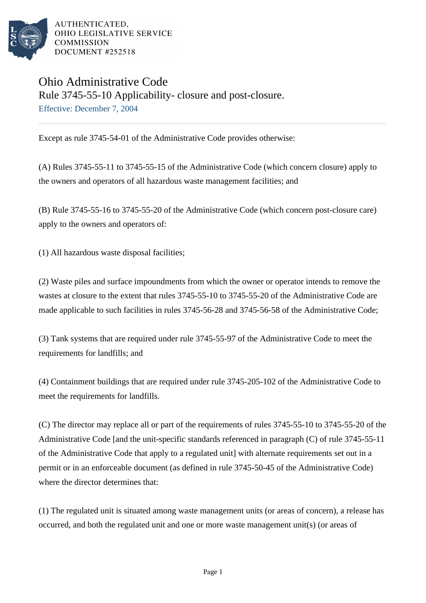

AUTHENTICATED. OHIO LEGISLATIVE SERVICE **COMMISSION** DOCUMENT #252518

## Ohio Administrative Code Rule 3745-55-10 Applicability- closure and post-closure. Effective: December 7, 2004

Except as rule 3745-54-01 of the Administrative Code provides otherwise:

(A) Rules 3745-55-11 to 3745-55-15 of the Administrative Code (which concern closure) apply to the owners and operators of all hazardous waste management facilities; and

(B) Rule 3745-55-16 to 3745-55-20 of the Administrative Code (which concern post-closure care) apply to the owners and operators of:

(1) All hazardous waste disposal facilities;

(2) Waste piles and surface impoundments from which the owner or operator intends to remove the wastes at closure to the extent that rules 3745-55-10 to 3745-55-20 of the Administrative Code are made applicable to such facilities in rules 3745-56-28 and 3745-56-58 of the Administrative Code;

(3) Tank systems that are required under rule 3745-55-97 of the Administrative Code to meet the requirements for landfills; and

(4) Containment buildings that are required under rule 3745-205-102 of the Administrative Code to meet the requirements for landfills.

(C) The director may replace all or part of the requirements of rules 3745-55-10 to 3745-55-20 of the Administrative Code [and the unit-specific standards referenced in paragraph (C) of rule 3745-55-11 of the Administrative Code that apply to a regulated unit] with alternate requirements set out in a permit or in an enforceable document (as defined in rule 3745-50-45 of the Administrative Code) where the director determines that:

(1) The regulated unit is situated among waste management units (or areas of concern), a release has occurred, and both the regulated unit and one or more waste management unit(s) (or areas of